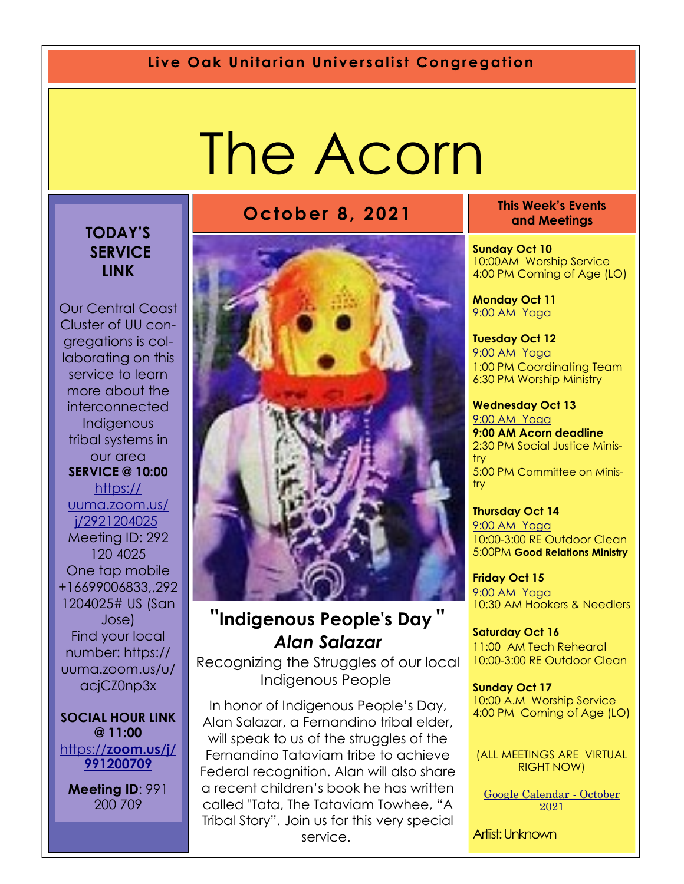#### **Live Oak Unitarian Universalist Congregation**

# The Acorn

#### **TODAY'S SERVICE LINK**

Our Central Coast Cluster of UU congregations is collaborating on this service to learn more about the interconnected **Indigenous** tribal systems in our area **SERVICE @ 10:00**  [https://](https://uuma.zoom.us/j/2921204025) [uuma.zoom.us/](https://uuma.zoom.us/j/2921204025) [j/2921204025](https://uuma.zoom.us/j/2921204025) Meeting ID: 292 120 4025 One tap mobile +16699006833,,292 1204025# US (San Jose) Find your local number: https:// uuma.zoom.us/u/ acjCZ0np3x

**SOCIAL HOUR LINK @ 11:00**  https://**[zoom.us/j/](https://zoom.us/j/991200709) [991200709](https://zoom.us/j/991200709)**

**Meeting ID**: 991 200 709



#### **"Indigenous People's Day "** *Alan Salazar*

Recognizing the Struggles of our local Indigenous People

In honor of Indigenous People's Day, Alan Salazar, a Fernandino tribal elder, will speak to us of the struggles of the Fernandino Tataviam tribe to achieve Federal recognition. Alan will also share a recent children's book he has written called "Tata, The Tataviam Towhee, "A Tribal Story". Join us for this very special service.

**October 8, 2021 This Week's Events and Meetings** 

> **Sunday Oct 10** 10:00AM Worship Service 4:00 PM Coming of Age (LO)

**Monday Oct 11** 9[:00 AM Yoga](https://us02web.zoom.us/j/86278199291?pwd=WUh1MFJyVXNVOTIyQ1NmanJoSmNXQT09)

**Tuesday Oct 12** [9:](https://us02web.zoom.us/meeting/register/tZ0pc-6qrTwqH9WUfmrB_nZu0MWqJ8CyS3Uw)[00 AM Yoga](https://us02web.zoom.us/j/86278199291?pwd=WUh1MFJyVXNVOTIyQ1NmanJoSmNXQT09)  1:00 PM Coordinating Team 6:30 PM Worship Ministry

**Wednesday Oct 13** [9:](https://us02web.zoom.us/meeting/register/tZ0pc-6qrTwqH9WUfmrB_nZu0MWqJ8CyS3Uw)[00 AM Yoga](https://us02web.zoom.us/j/86278199291?pwd=WUh1MFJyVXNVOTIyQ1NmanJoSmNXQT09) **9:00 AM Acorn deadline** 2:30 PM Social Justice Ministry

5:00 PM Committee on Ministry

**Thursday Oct 14** [9:](https://us02web.zoom.us/meeting/register/tZ0pc-6qrTwqH9WUfmrB_nZu0MWqJ8CyS3Uw)[00 AM Yoga](https://us02web.zoom.us/j/86278199291?pwd=WUh1MFJyVXNVOTIyQ1NmanJoSmNXQT09) 10:00-3:00 RE Outdoor Clean 5:00PM **Good Relations Ministry**

**Friday Oct 15** [9:](https://us02web.zoom.us/meeting/register/tZ0pc-6qrTwqH9WUfmrB_nZu0MWqJ8CyS3Uw)[00 AM Yoga](https://us02web.zoom.us/j/86278199291?pwd=WUh1MFJyVXNVOTIyQ1NmanJoSmNXQT09) 10:30 AM Hookers & Needlers

**Saturday Oct 16** 11:00 AM Tech Rehearal 10:00-3:00 RE Outdoor Clean

**Sunday Oct 17** 10:00 A.M Worship Service 4:00 PM Coming of Age (LO)

(ALL MEETINGS ARE VIRTUAL RIGHT NOW)

[Google Calendar -](https://calendar.google.com/calendar/u/1/r/month/2021/10/1) October [2021](https://calendar.google.com/calendar/u/1/r/month/2021/10/1)

Artiist: Unknown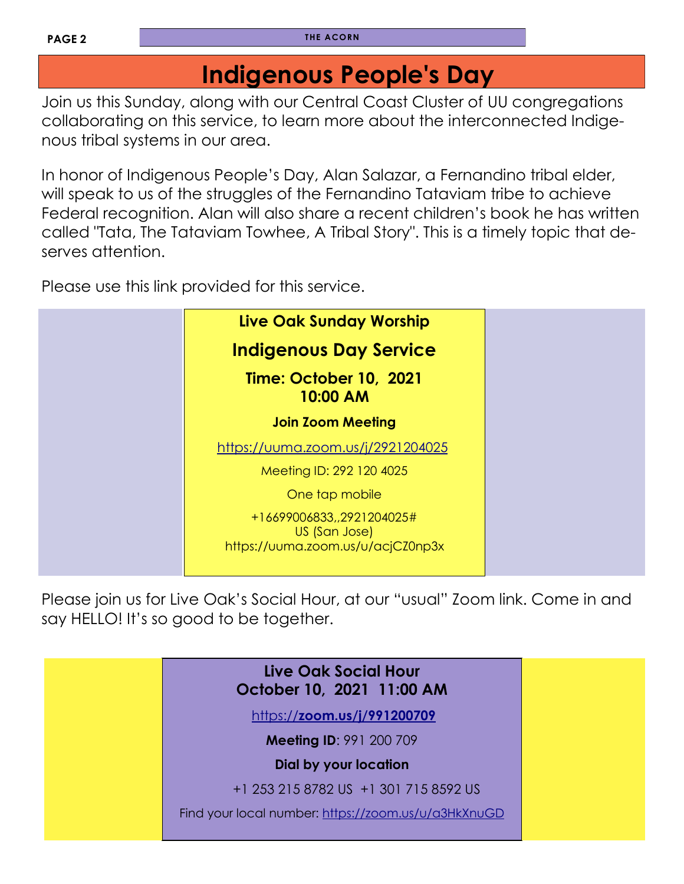# **Indigenous People's Day**

Join us this Sunday, along with our Central Coast Cluster of UU congregations collaborating on this service, to learn more about the interconnected Indigenous tribal systems in our area.

In honor of Indigenous People's Day, Alan Salazar, a Fernandino tribal elder, will speak to us of the struggles of the Fernandino Tataviam tribe to achieve Federal recognition. Alan will also share a recent children's book he has written called "Tata, The Tataviam Towhee, A Tribal Story". This is a timely topic that deserves attention.

Please use this link provided for this service.



Please join us for Live Oak's Social Hour, at our "usual" Zoom link. Come in and say HELLO! It's so good to be together.

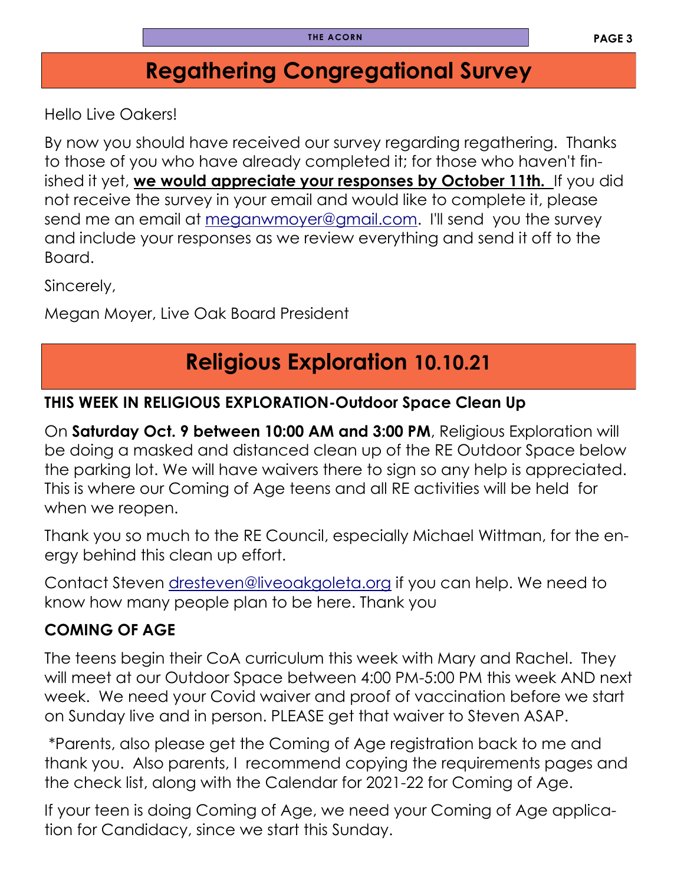# **Regathering Congregational Survey**

Hello Live Oakers!

By now you should have received our survey regarding regathering. Thanks to those of you who have already completed it; for those who haven't finished it yet, **we would appreciate your responses by October 11th.** If you did not receive the survey in your email and would like to complete it, please send me an email at [meganwmoyer@gmail.com.](mailto:meganwmoyer@gmail.com) I'll send you the survey and include your responses as we review everything and send it off to the Board.

Sincerely,

Megan Moyer, Live Oak Board President

# **Religious Exploration 10.10.21**

#### **THIS WEEK IN RELIGIOUS EXPLORATION-Outdoor Space Clean Up**

On **Saturday Oct. 9 between 10:00 AM and 3:00 PM**, Religious Exploration will be doing a masked and distanced clean up of the RE Outdoor Space below the parking lot. We will have waivers there to sign so any help is appreciated. This is where our Coming of Age teens and all RE activities will be held for when we reopen.

Thank you so much to the RE Council, especially Michael Wittman, for the energy behind this clean up effort.

Contact Steven [dresteven@liveoakgoleta.org](mailto:dresteven@liveoakgoleta.org) if you can help. We need to know how many people plan to be here. Thank you

#### **COMING OF AGE**

The teens begin their CoA curriculum this week with Mary and Rachel. They will meet at our Outdoor Space between 4:00 PM-5:00 PM this week AND next week. We need your Covid waiver and proof of vaccination before we start on Sunday live and in person. PLEASE get that waiver to Steven ASAP.

\*Parents, also please get the Coming of Age registration back to me and thank you. Also parents, I recommend copying the requirements pages and the check list, along with the Calendar for 2021-22 for Coming of Age.

If your teen is doing Coming of Age, we need your Coming of Age application for Candidacy, since we start this Sunday.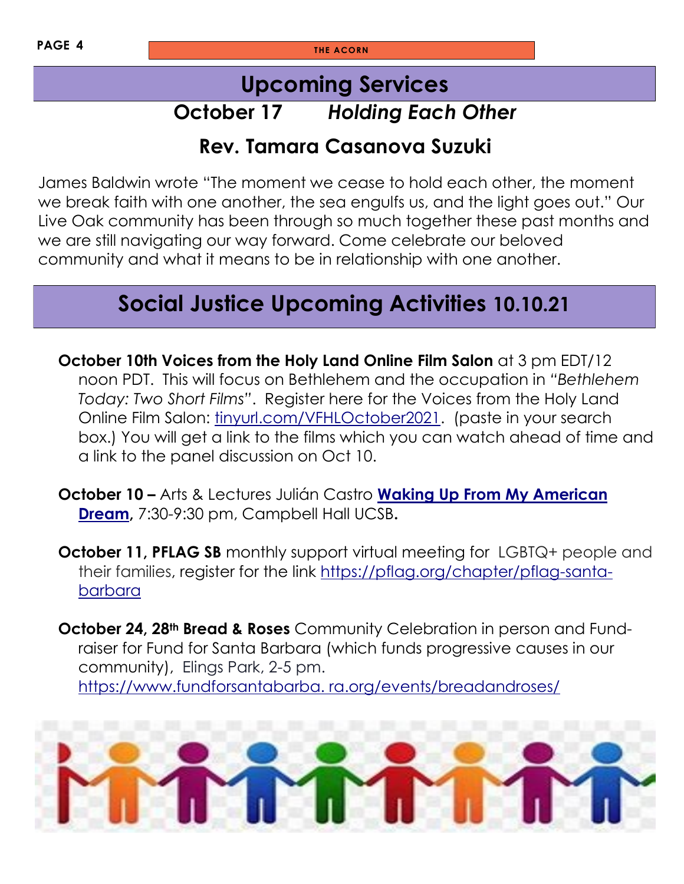#### **Upcoming Services**

### **October 17** *Holding Each Other*

#### **Rev. Tamara Casanova Suzuki**

James Baldwin wrote "The moment we cease to hold each other, the moment we break faith with one another, the sea engulfs us, and the light goes out." Our Live Oak community has been through so much together these past months and we are still navigating our way forward. Come celebrate our beloved community and what it means to be in relationship with one another.

# **Social Justice Upcoming Activities 10.10.21**

**October 10th Voices from the Holy Land Online Film Salon** at 3 pm EDT/12 noon PDT. This will focus on Bethlehem and the occupation in *"Bethlehem Today: Two Short Films"*. Register here for the Voices from the Holy Land Online Film Salon: [tinyurl.com/VFHLOctober2021.](tinyurl.com/VFHLOctober2021) (paste in your search box.) You will get a link to the films which you can watch ahead of time and a link to the panel discussion on Oct 10.

- **October 10 –** Arts & Lectures Julián Castro **[Waking Up From My American](https://www.fundforsantabarbara.org/communitycalendar/julian-castro-waking-up-from-my-american-dream/)  [Dream,](https://www.fundforsantabarbara.org/communitycalendar/julian-castro-waking-up-from-my-american-dream/)** 7:30-9:30 pm, Campbell Hall UCSB**.**
- **October 11, PFLAG SB** monthly support virtual meeting for LGBTQ+ people and their families, register for the link [https://pflag.org/chapter/pflag-santa](https://pflag.org/chapter/pflag-santa-barbara)[barbara](https://pflag.org/chapter/pflag-santa-barbara)
- **October 24, 28th Bread & Roses** Community Celebration in person and Fundraiser for Fund for Santa Barbara (which funds progressive causes in our community), Elings Park, 2-5 pm. [https://www.fundforsantabarba. ra.org/events/breadandroses/](https://www.fundforsantabarba.ra.org/events/breadandroses/)

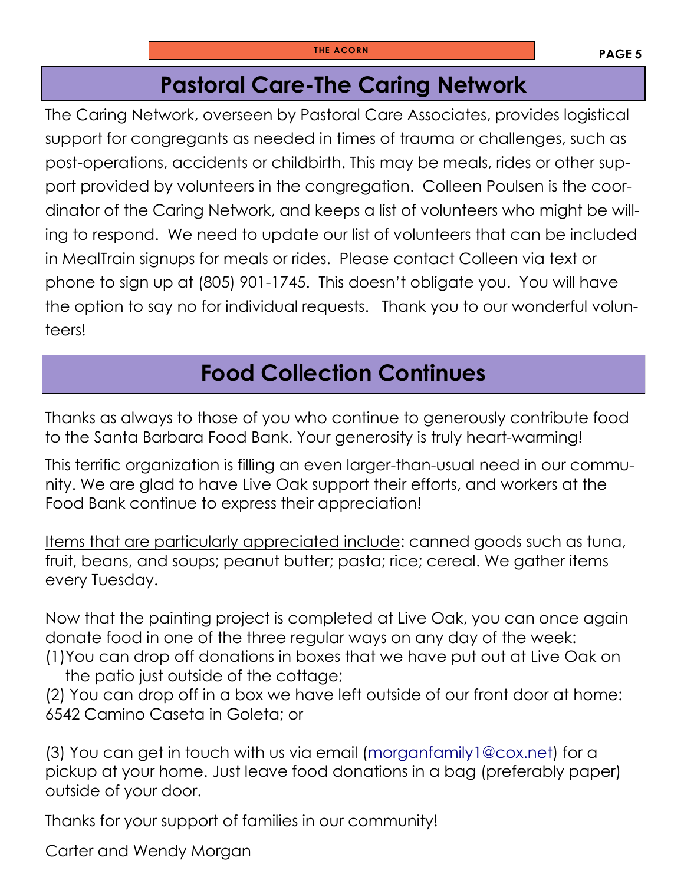### **Pastoral Care-The Caring Network**

The Caring Network, overseen by Pastoral Care Associates, provides logistical support for congregants as needed in times of trauma or challenges, such as post-operations, accidents or childbirth. This may be meals, rides or other support provided by volunteers in the congregation. Colleen Poulsen is the coordinator of the Caring Network, and keeps a list of volunteers who might be willing to respond. We need to update our list of volunteers that can be included in MealTrain signups for meals or rides. Please contact Colleen via text or phone to sign up at (805) 901-1745. This doesn't obligate you. You will have the option to say no for individual requests. Thank you to our wonderful volunteers!

# **Food Collection Continues**

Thanks as always to those of you who continue to generously contribute food to the Santa Barbara Food Bank. Your generosity is truly heart-warming!

This terrific organization is filling an even larger-than-usual need in our community. We are glad to have Live Oak support their efforts, and workers at the Food Bank continue to express their appreciation!

Items that are particularly appreciated include: canned goods such as tuna, fruit, beans, and soups; peanut butter; pasta; rice; cereal. We gather items every Tuesday.

Now that the painting project is completed at Live Oak, you can once again donate food in one of the three regular ways on any day of the week: (1)You can drop off donations in boxes that we have put out at Live Oak on

the patio just outside of the cottage; (2) You can drop off in a box we have left outside of our front door at home: 6542 Camino Caseta in Goleta; or

(3) You can get in touch with us via email [\(morganfamily1@cox.net\)](mailto:morganfamily1@cox.net) for a pickup at your home. Just leave food donations in a bag (preferably paper) outside of your door.

Thanks for your support of families in our community!

Carter and Wendy Morgan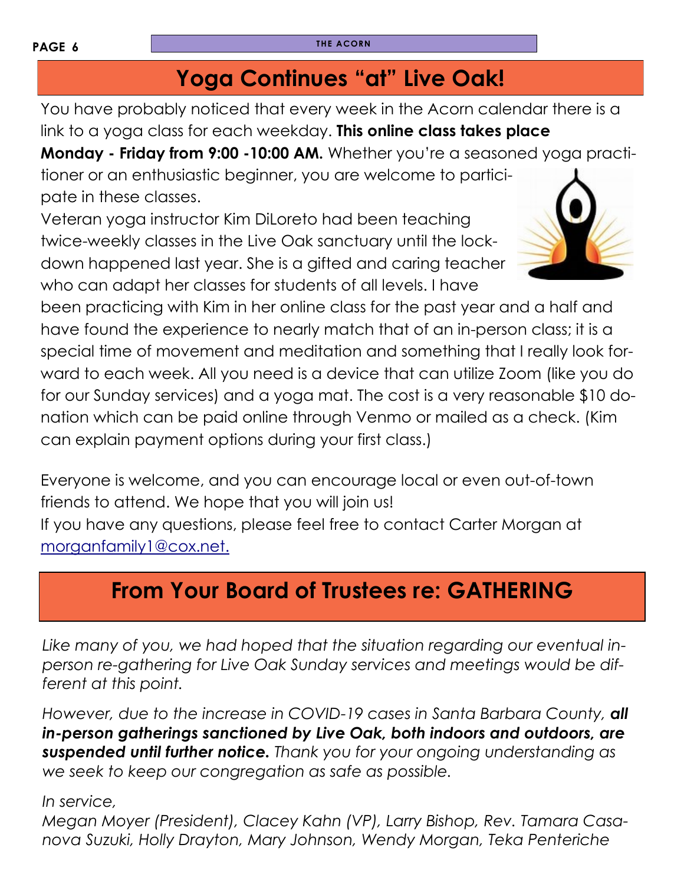# **Yoga Continues "at" Live Oak!**

You have probably noticed that every week in the Acorn calendar there is a link to a yoga class for each weekday. **This online class takes place** 

**Monday - Friday from 9:00 -10:00 AM.** Whether you're a seasoned yoga practi-

tioner or an enthusiastic beginner, you are welcome to participate in these classes.

Veteran yoga instructor Kim DiLoreto had been teaching twice-weekly classes in the Live Oak sanctuary until the lockdown happened last year. She is a gifted and caring teacher who can adapt her classes for students of all levels. I have

been practicing with Kim in her online class for the past year and a half and have found the experience to nearly match that of an in-person class; it is a special time of movement and meditation and something that I really look forward to each week. All you need is a device that can utilize Zoom (like you do for our Sunday services) and a yoga mat. The cost is a very reasonable \$10 donation which can be paid online through Venmo or mailed as a check. (Kim can explain payment options during your first class.)

Everyone is welcome, and you can encourage local or even out-of-town friends to attend. We hope that you will join us! If you have any questions, please feel free to contact Carter Morgan at [morganfamily1@cox.net.](mailto:morganfamily1@cox.net)

# **From Your Board of Trustees re: GATHERING**

*Like many of you, we had hoped that the situation regarding our eventual inperson re-gathering for Live Oak Sunday services and meetings would be different at this point.*

*However, due to the increase in COVID-19 cases in Santa Barbara County, all in-person gatherings sanctioned by Live Oak, both indoors and outdoors, are suspended until further notice. Thank you for your ongoing understanding as we seek to keep our congregation as safe as possible.*

#### *In service,*

*Megan Moyer (President), Clacey Kahn (VP), Larry Bishop, Rev. Tamara Casanova Suzuki, Holly Drayton, Mary Johnson, Wendy Morgan, Teka Penteriche*